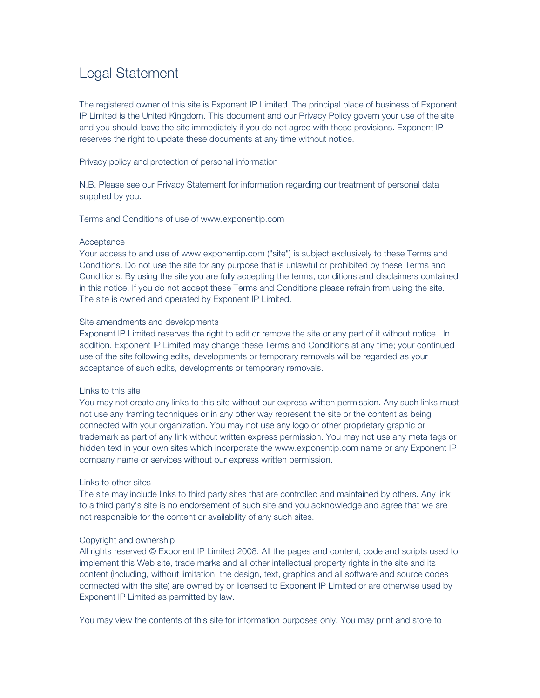# Legal Statement

The registered owner of this site is Exponent IP Limited. The principal place of business of Exponent IP Limited is the United Kingdom. This document and our Privacy Policy govern your use of the site and you should leave the site immediately if you do not agree with these provisions. Exponent IP reserves the right to update these documents at any time without notice.

Privacy policy and protection of personal information

N.B. Please see our Privacy Statement for information regarding our treatment of personal data supplied by you.

Terms and Conditions of use of www.exponentip.com

## **Acceptance**

Your access to and use of www.exponentip.com ("site") is subject exclusively to these Terms and Conditions. Do not use the site for any purpose that is unlawful or prohibited by these Terms and Conditions. By using the site you are fully accepting the terms, conditions and disclaimers contained in this notice. If you do not accept these Terms and Conditions please refrain from using the site. The site is owned and operated by Exponent IP Limited.

# Site amendments and developments

Exponent IP Limited reserves the right to edit or remove the site or any part of it without notice. In addition, Exponent IP Limited may change these Terms and Conditions at any time; your continued use of the site following edits, developments or temporary removals will be regarded as your acceptance of such edits, developments or temporary removals.

### Links to this site

You may not create any links to this site without our express written permission. Any such links must not use any framing techniques or in any other way represent the site or the content as being connected with your organization. You may not use any logo or other proprietary graphic or trademark as part of any link without written express permission. You may not use any meta tags or hidden text in your own sites which incorporate the www.exponentip.com name or any Exponent IP company name or services without our express written permission.

# Links to other sites

The site may include links to third party sites that are controlled and maintained by others. Any link to a third party's site is no endorsement of such site and you acknowledge and agree that we are not responsible for the content or availability of any such sites.

# Copyright and ownership

All rights reserved © Exponent IP Limited 2008. All the pages and content, code and scripts used to implement this Web site, trade marks and all other intellectual property rights in the site and its content (including, without limitation, the design, text, graphics and all software and source codes connected with the site) are owned by or licensed to Exponent IP Limited or are otherwise used by Exponent IP Limited as permitted by law.

You may view the contents of this site for information purposes only. You may print and store to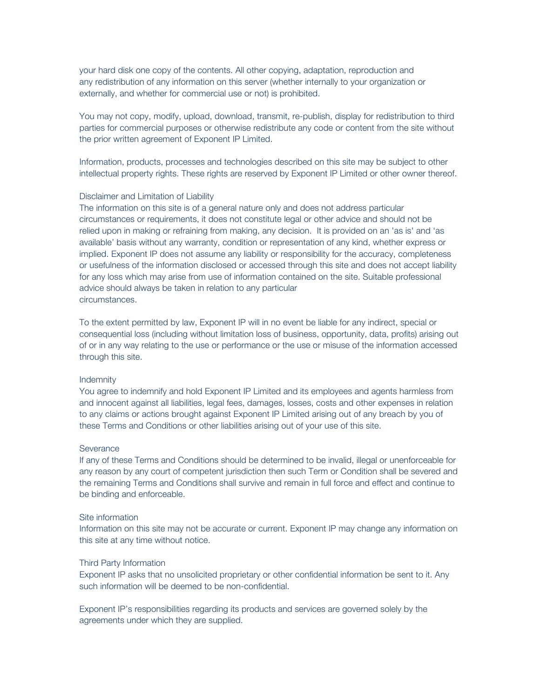your hard disk one copy of the contents. All other copying, adaptation, reproduction and any redistribution of any information on this server (whether internally to your organization or externally, and whether for commercial use or not) is prohibited.

You may not copy, modify, upload, download, transmit, re-publish, display for redistribution to third parties for commercial purposes or otherwise redistribute any code or content from the site without the prior written agreement of Exponent IP Limited.

Information, products, processes and technologies described on this site may be subject to other intellectual property rights. These rights are reserved by Exponent IP Limited or other owner thereof.

## Disclaimer and Limitation of Liability

The information on this site is of a general nature only and does not address particular circumstances or requirements, it does not constitute legal or other advice and should not be relied upon in making or refraining from making, any decision. It is provided on an 'as is' and 'as available' basis without any warranty, condition or representation of any kind, whether express or implied. Exponent IP does not assume any liability or responsibility for the accuracy, completeness or usefulness of the information disclosed or accessed through this site and does not accept liability for any loss which may arise from use of information contained on the site. Suitable professional advice should always be taken in relation to any particular circumstances.

To the extent permitted by law, Exponent IP will in no event be liable for any indirect, special or consequential loss (including without limitation loss of business, opportunity, data, profits) arising out of or in any way relating to the use or performance or the use or misuse of the information accessed through this site.

#### Indemnity

You agree to indemnify and hold Exponent IP Limited and its employees and agents harmless from and innocent against all liabilities, legal fees, damages, losses, costs and other expenses in relation to any claims or actions brought against Exponent IP Limited arising out of any breach by you of these Terms and Conditions or other liabilities arising out of your use of this site.

### **Severance**

If any of these Terms and Conditions should be determined to be invalid, illegal or unenforceable for any reason by any court of competent jurisdiction then such Term or Condition shall be severed and the remaining Terms and Conditions shall survive and remain in full force and effect and continue to be binding and enforceable.

#### Site information

Information on this site may not be accurate or current. Exponent IP may change any information on this site at any time without notice.

#### Third Party Information

Exponent IP asks that no unsolicited proprietary or other confidential information be sent to it. Any such information will be deemed to be non-confidential.

Exponent IP's responsibilities regarding its products and services are governed solely by the agreements under which they are supplied.